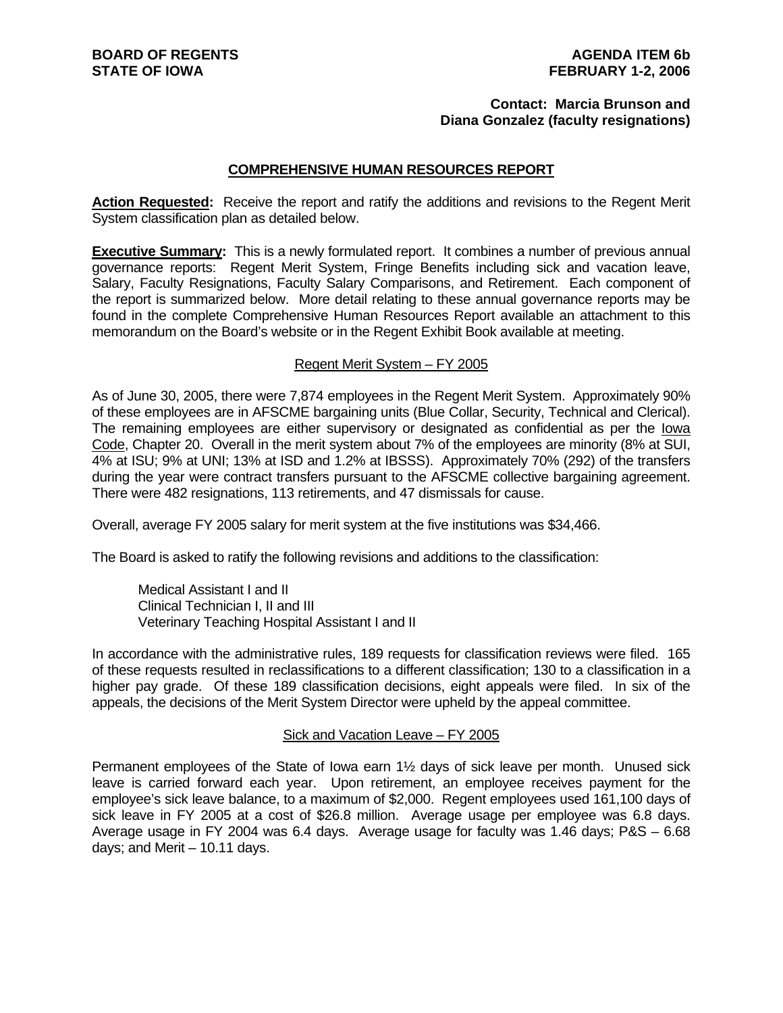#### **Contact: Marcia Brunson and Diana Gonzalez (faculty resignations)**

#### **COMPREHENSIVE HUMAN RESOURCES REPORT**

**Action Requested:** Receive the report and ratify the additions and revisions to the Regent Merit System classification plan as detailed below.

**Executive Summary:** This is a newly formulated report. It combines a number of previous annual governance reports: Regent Merit System, Fringe Benefits including sick and vacation leave, Salary, Faculty Resignations, Faculty Salary Comparisons, and Retirement. Each component of the report is summarized below. More detail relating to these annual governance reports may be found in the complete Comprehensive Human Resources Report available an attachment to this memorandum on the Board's website or in the Regent Exhibit Book available at meeting.

#### Regent Merit System – FY 2005

As of June 30, 2005, there were 7,874 employees in the Regent Merit System. Approximately 90% of these employees are in AFSCME bargaining units (Blue Collar, Security, Technical and Clerical). The remaining employees are either supervisory or designated as confidential as per the Iowa Code, Chapter 20. Overall in the merit system about 7% of the employees are minority (8% at SUI, 4% at ISU; 9% at UNI; 13% at ISD and 1.2% at IBSSS). Approximately 70% (292) of the transfers during the year were contract transfers pursuant to the AFSCME collective bargaining agreement. There were 482 resignations, 113 retirements, and 47 dismissals for cause.

Overall, average FY 2005 salary for merit system at the five institutions was \$34,466.

The Board is asked to ratify the following revisions and additions to the classification:

Medical Assistant I and II Clinical Technician I, II and III Veterinary Teaching Hospital Assistant I and II

In accordance with the administrative rules, 189 requests for classification reviews were filed. 165 of these requests resulted in reclassifications to a different classification; 130 to a classification in a higher pay grade. Of these 189 classification decisions, eight appeals were filed. In six of the appeals, the decisions of the Merit System Director were upheld by the appeal committee.

#### Sick and Vacation Leave – FY 2005

Permanent employees of the State of Iowa earn 1½ days of sick leave per month. Unused sick leave is carried forward each year. Upon retirement, an employee receives payment for the employee's sick leave balance, to a maximum of \$2,000. Regent employees used 161,100 days of sick leave in FY 2005 at a cost of \$26.8 million. Average usage per employee was 6.8 days. Average usage in FY 2004 was 6.4 days. Average usage for faculty was 1.46 days; P&S – 6.68 days; and Merit – 10.11 days.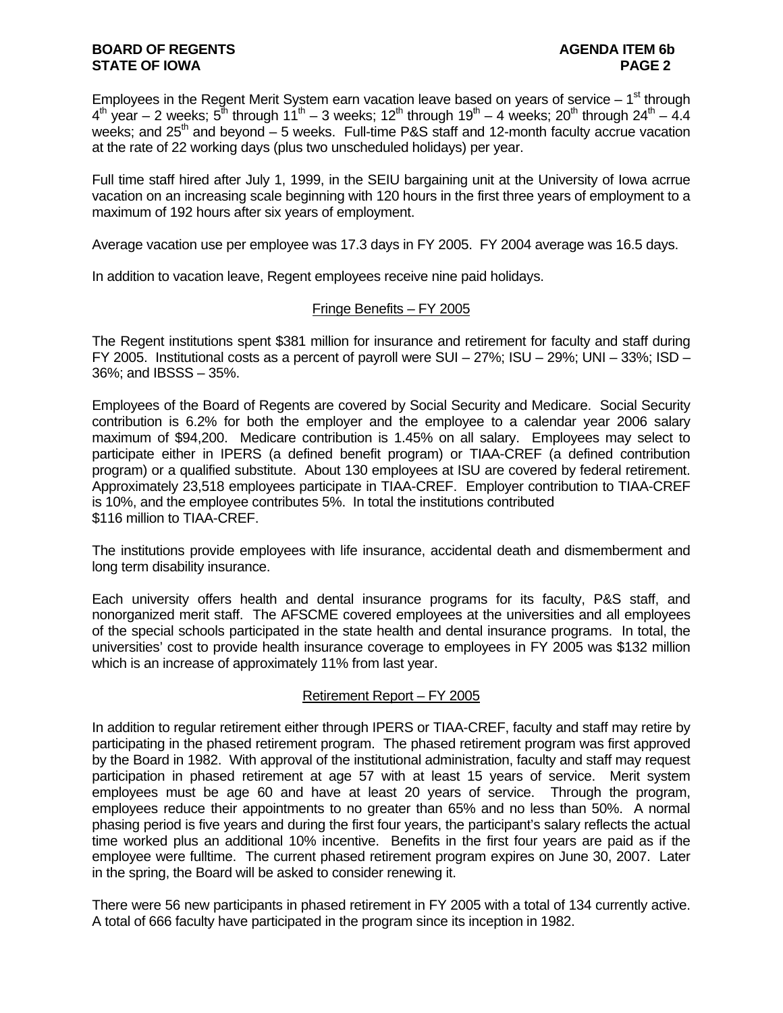Employees in the Regent Merit System earn vacation leave based on years of service  $-1<sup>st</sup>$  through  $4<sup>th</sup>$  year – 2 weeks;  $5<sup>th</sup>$  through  $11<sup>th</sup>$  – 3 weeks;  $12<sup>th</sup>$  through  $19<sup>th</sup>$  – 4 weeks;  $20<sup>th</sup>$  through  $24<sup>th</sup>$  – 4.4 weeks; and  $25<sup>th</sup>$  and beyond – 5 weeks. Full-time P&S staff and 12-month faculty accrue vacation at the rate of 22 working days (plus two unscheduled holidays) per year.

Full time staff hired after July 1, 1999, in the SEIU bargaining unit at the University of Iowa acrrue vacation on an increasing scale beginning with 120 hours in the first three years of employment to a maximum of 192 hours after six years of employment.

Average vacation use per employee was 17.3 days in FY 2005. FY 2004 average was 16.5 days.

In addition to vacation leave, Regent employees receive nine paid holidays.

#### Fringe Benefits – FY 2005

The Regent institutions spent \$381 million for insurance and retirement for faculty and staff during FY 2005. Institutional costs as a percent of payroll were  $SUI - 27\%$ ;  $ISU - 29\%$ ;  $UNI - 33\%$ ;  $ISD -$ 36%; and IBSSS – 35%.

Employees of the Board of Regents are covered by Social Security and Medicare. Social Security contribution is 6.2% for both the employer and the employee to a calendar year 2006 salary maximum of \$94,200. Medicare contribution is 1.45% on all salary. Employees may select to participate either in IPERS (a defined benefit program) or TIAA-CREF (a defined contribution program) or a qualified substitute. About 130 employees at ISU are covered by federal retirement. Approximately 23,518 employees participate in TIAA-CREF. Employer contribution to TIAA-CREF is 10%, and the employee contributes 5%. In total the institutions contributed \$116 million to TIAA-CREF.

The institutions provide employees with life insurance, accidental death and dismemberment and long term disability insurance.

Each university offers health and dental insurance programs for its faculty, P&S staff, and nonorganized merit staff. The AFSCME covered employees at the universities and all employees of the special schools participated in the state health and dental insurance programs. In total, the universities' cost to provide health insurance coverage to employees in FY 2005 was \$132 million which is an increase of approximately 11% from last year.

# Retirement Report – FY 2005

In addition to regular retirement either through IPERS or TIAA-CREF, faculty and staff may retire by participating in the phased retirement program. The phased retirement program was first approved by the Board in 1982. With approval of the institutional administration, faculty and staff may request participation in phased retirement at age 57 with at least 15 years of service. Merit system employees must be age 60 and have at least 20 years of service. Through the program, employees reduce their appointments to no greater than 65% and no less than 50%. A normal phasing period is five years and during the first four years, the participant's salary reflects the actual time worked plus an additional 10% incentive. Benefits in the first four years are paid as if the employee were fulltime. The current phased retirement program expires on June 30, 2007. Later in the spring, the Board will be asked to consider renewing it.

There were 56 new participants in phased retirement in FY 2005 with a total of 134 currently active. A total of 666 faculty have participated in the program since its inception in 1982.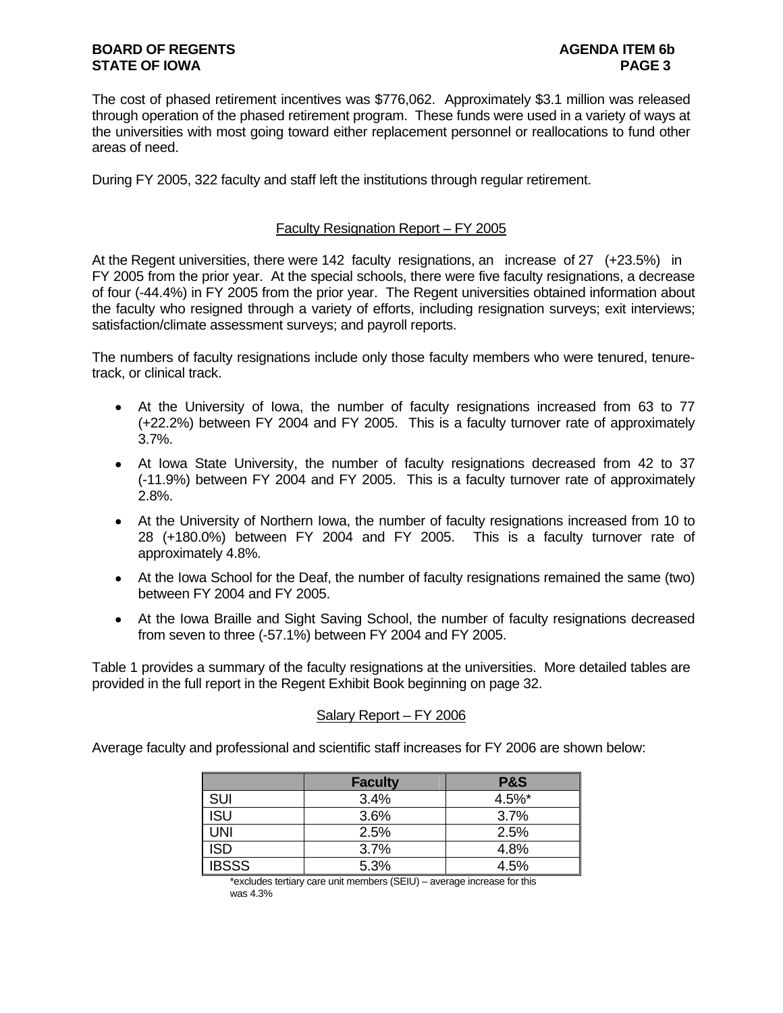The cost of phased retirement incentives was \$776,062. Approximately \$3.1 million was released through operation of the phased retirement program. These funds were used in a variety of ways at the universities with most going toward either replacement personnel or reallocations to fund other areas of need.

During FY 2005, 322 faculty and staff left the institutions through regular retirement.

# Faculty Resignation Report – FY 2005

At the Regent universities, there were 142 faculty resignations, an increase of 27 (+23.5%) in FY 2005 from the prior year. At the special schools, there were five faculty resignations, a decrease of four (-44.4%) in FY 2005 from the prior year. The Regent universities obtained information about the faculty who resigned through a variety of efforts, including resignation surveys; exit interviews; satisfaction/climate assessment surveys; and payroll reports.

The numbers of faculty resignations include only those faculty members who were tenured, tenuretrack, or clinical track.

- At the University of Iowa, the number of faculty resignations increased from 63 to 77 (+22.2%) between FY 2004 and FY 2005. This is a faculty turnover rate of approximately 3.7%.
- At Iowa State University, the number of faculty resignations decreased from 42 to 37 (-11.9%) between FY 2004 and FY 2005. This is a faculty turnover rate of approximately 2.8%.
- At the University of Northern Iowa, the number of faculty resignations increased from 10 to 28 (+180.0%) between FY 2004 and FY 2005. This is a faculty turnover rate of approximately 4.8%.
- At the Iowa School for the Deaf, the number of faculty resignations remained the same (two) between FY 2004 and FY 2005.
- At the Iowa Braille and Sight Saving School, the number of faculty resignations decreased from seven to three (-57.1%) between FY 2004 and FY 2005.

Table 1 provides a summary of the faculty resignations at the universities. More detailed tables are provided in the full report in the Regent Exhibit Book beginning on page 32.

# Salary Report – FY 2006

Average faculty and professional and scientific staff increases for FY 2006 are shown below:

|              | <b>Faculty</b> | <b>P&amp;S</b> |
|--------------|----------------|----------------|
| SUI          | 3.4%           | 4.5%*          |
| ISU          | 3.6%           | 3.7%           |
| <b>JNI</b>   | 2.5%           | 2.5%           |
| <b>ISD</b>   | 3.7%           | 4.8%           |
| <b>IBSSS</b> | 5.3%           | 4.5%           |

 \*excludes tertiary care unit members (SEIU) – average increase for this was 4.3%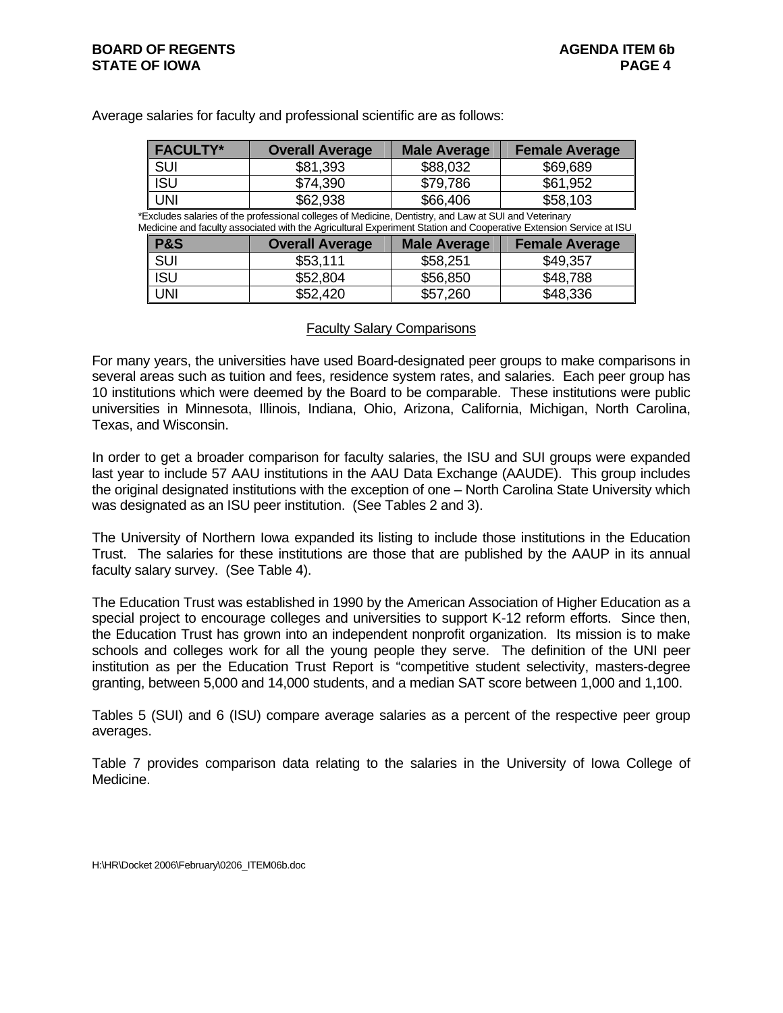# **BOARD OF REGENTS AGENUS AGENDA ITEM 6b STATE OF IOWA PAGE 4**

| Average salaries for faculty and professional scientific are as follows: |  |  |
|--------------------------------------------------------------------------|--|--|
|                                                                          |  |  |

| FACULTY* | <b>Overall Average</b> | <b>Male Average</b> | <b>Female Average</b> |
|----------|------------------------|---------------------|-----------------------|
| l sui    | \$81,393               | \$88,032            | \$69,689              |
| ∥ ISU    | \$74,390               | \$79.786            | \$61,952              |
| l uni    | \$62,938               | \$66,406            | \$58,103              |

\*Excludes salaries of the professional colleges of Medicine, Dentistry, and Law at SUI and Veterinary Medicine and faculty associated with the Agricultural Experiment Station and Cooperative Extension Service at ISU

| <b>P&amp;S</b> | <b>Overall Average</b> | <b>Male Average</b> | <b>Female Average</b> |
|----------------|------------------------|---------------------|-----------------------|
| SUI            | \$53,111               | \$58,251            | \$49,357              |
| <b>ISU</b>     | \$52,804               | \$56,850            | \$48,788              |
| UNI            | \$52,420               | \$57,260            | \$48,336              |

#### Faculty Salary Comparisons

For many years, the universities have used Board-designated peer groups to make comparisons in several areas such as tuition and fees, residence system rates, and salaries. Each peer group has 10 institutions which were deemed by the Board to be comparable. These institutions were public universities in Minnesota, Illinois, Indiana, Ohio, Arizona, California, Michigan, North Carolina, Texas, and Wisconsin.

In order to get a broader comparison for faculty salaries, the ISU and SUI groups were expanded last year to include 57 AAU institutions in the AAU Data Exchange (AAUDE). This group includes the original designated institutions with the exception of one – North Carolina State University which was designated as an ISU peer institution. (See Tables 2 and 3).

The University of Northern Iowa expanded its listing to include those institutions in the Education Trust. The salaries for these institutions are those that are published by the AAUP in its annual faculty salary survey. (See Table 4).

The Education Trust was established in 1990 by the American Association of Higher Education as a special project to encourage colleges and universities to support K-12 reform efforts. Since then, the Education Trust has grown into an independent nonprofit organization. Its mission is to make schools and colleges work for all the young people they serve. The definition of the UNI peer institution as per the Education Trust Report is "competitive student selectivity, masters-degree granting, between 5,000 and 14,000 students, and a median SAT score between 1,000 and 1,100.

Tables 5 (SUI) and 6 (ISU) compare average salaries as a percent of the respective peer group averages.

Table 7 provides comparison data relating to the salaries in the University of Iowa College of Medicine.

H:\HR\Docket 2006\February\0206\_ITEM06b.doc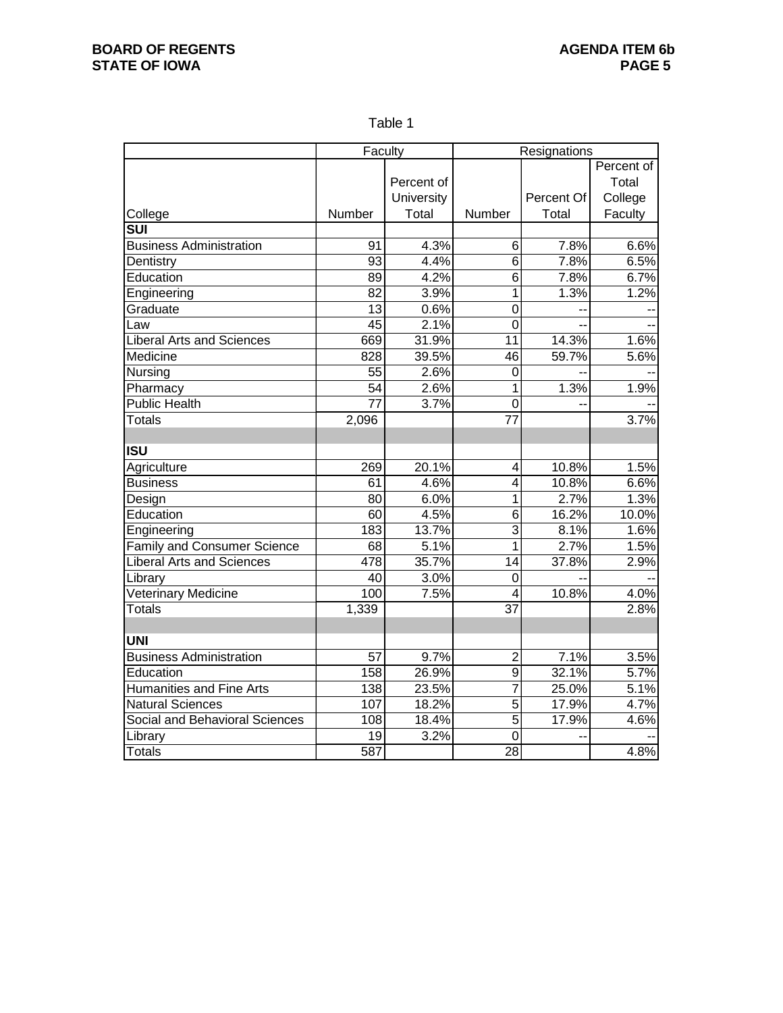Table 1

|                                    | Faculty         |            | Resignations    |            |            |  |  |  |
|------------------------------------|-----------------|------------|-----------------|------------|------------|--|--|--|
|                                    |                 |            |                 |            | Percent of |  |  |  |
|                                    |                 | Percent of |                 |            | Total      |  |  |  |
|                                    |                 | University |                 | Percent Of | College    |  |  |  |
| College                            | Number          | Total      | Number          | Total      | Faculty    |  |  |  |
| $\overline{\text{SUI}}$            |                 |            |                 |            |            |  |  |  |
| <b>Business Administration</b>     | 91              | 4.3%       | 6               | 7.8%       | 6.6%       |  |  |  |
| Dentistry                          | 93              | 4.4%       | 6               | 7.8%       | 6.5%       |  |  |  |
| Education                          | 89              | 4.2%       | 6               | 7.8%       | 6.7%       |  |  |  |
| Engineering                        | $\overline{82}$ | 3.9%       | $\overline{1}$  | 1.3%       | 1.2%       |  |  |  |
| Graduate                           | $\overline{13}$ | 0.6%       | $\overline{0}$  |            |            |  |  |  |
| Law                                | $\overline{45}$ | 2.1%       | $\overline{0}$  |            |            |  |  |  |
| <b>Liberal Arts and Sciences</b>   | 669             | 31.9%      | 11              | 14.3%      | 1.6%       |  |  |  |
| Medicine                           | 828             | 39.5%      | 46              | 59.7%      | 5.6%       |  |  |  |
| Nursing                            | 55              | 2.6%       | $\mathbf 0$     |            |            |  |  |  |
| Pharmacy                           | 54              | 2.6%       | $\mathbf{1}$    | 1.3%       | 1.9%       |  |  |  |
| <b>Public Health</b>               | $\overline{77}$ | 3.7%       | $\overline{0}$  |            |            |  |  |  |
| <b>Totals</b>                      | 2,096           |            | $\overline{77}$ |            | 3.7%       |  |  |  |
|                                    |                 |            |                 |            |            |  |  |  |
| <b>ISU</b>                         |                 |            |                 |            |            |  |  |  |
| Agriculture                        | 269             | 20.1%      | 4               | 10.8%      | 1.5%       |  |  |  |
| <b>Business</b>                    | 61              | 4.6%       | 4               | 10.8%      | 6.6%       |  |  |  |
| Design                             | 80              | 6.0%       | $\mathbf{1}$    | 2.7%       | 1.3%       |  |  |  |
| Education                          | 60              | 4.5%       | 6               | 16.2%      | 10.0%      |  |  |  |
| Engineering                        | 183             | 13.7%      | $\overline{3}$  | 8.1%       | 1.6%       |  |  |  |
| <b>Family and Consumer Science</b> | 68              | 5.1%       | $\overline{1}$  | 2.7%       | 1.5%       |  |  |  |
| <b>Liberal Arts and Sciences</b>   | 478             | 35.7%      | 14              | 37.8%      | 2.9%       |  |  |  |
| Library                            | 40              | 3.0%       | $\mathbf 0$     |            |            |  |  |  |
| Veterinary Medicine                | 100             | 7.5%       | 4               | 10.8%      | 4.0%       |  |  |  |
| <b>Totals</b>                      | 1,339           |            | $\overline{37}$ |            | 2.8%       |  |  |  |
|                                    |                 |            |                 |            |            |  |  |  |
| <b>UNI</b>                         |                 |            |                 |            |            |  |  |  |
| <b>Business Administration</b>     | 57              | 9.7%       | $\overline{2}$  | 7.1%       | 3.5%       |  |  |  |
| Education                          | 158             | 26.9%      | 9               | 32.1%      | 5.7%       |  |  |  |
| Humanities and Fine Arts           | 138             | 23.5%      | $\overline{7}$  | 25.0%      | 5.1%       |  |  |  |
| <b>Natural Sciences</b>            | 107             | 18.2%      | $\overline{5}$  | 17.9%      | 4.7%       |  |  |  |
| Social and Behavioral Sciences     | 108             | 18.4%      | $\overline{5}$  | 17.9%      | 4.6%       |  |  |  |
| Library                            | 19              | 3.2%       | $\mathbf 0$     |            |            |  |  |  |
| <b>Totals</b>                      | 587             |            | 28              |            | 4.8%       |  |  |  |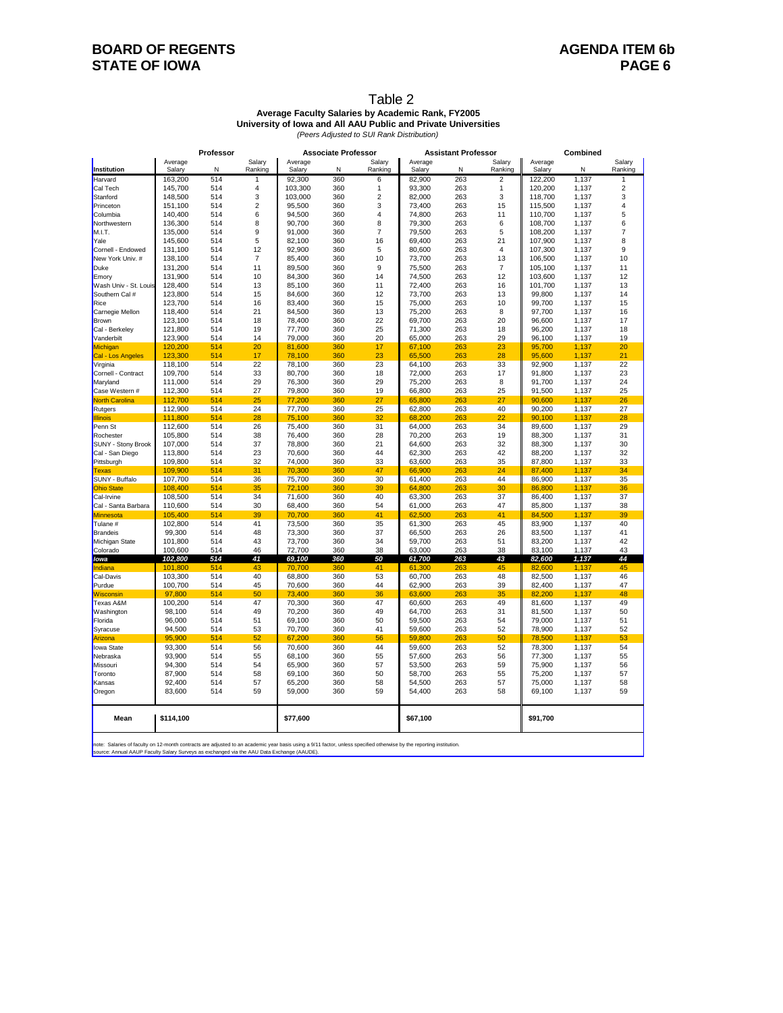# **BOARD OF REGENTS BOARD OF REGENTS STATE OF IOWA** PAGE 6

#### Table 2 **Average Faculty Salaries by Academic Rank, FY2005**

**University of Iowa and All AAU Public and Private Universities** *(Peers Adjusted to SUI Rank Distribution)*

|                                                                                                                                                                                                       | Professor          |            |                           | <b>Associate Professor</b>                |            |                | <b>Assistant Professor</b> |            | Combined       |                  |                |                |
|-------------------------------------------------------------------------------------------------------------------------------------------------------------------------------------------------------|--------------------|------------|---------------------------|-------------------------------------------|------------|----------------|----------------------------|------------|----------------|------------------|----------------|----------------|
|                                                                                                                                                                                                       | Average            |            | Salary                    | Average                                   |            | Salary         | Average                    |            | Salary         | Average          |                | Salary         |
| Institution                                                                                                                                                                                           | Salary             | N          | Ranking                   | Salary                                    | N          | Rankino        | Salary                     | N          | Ranking        | Salary           | N              | Ranking        |
| Harvard                                                                                                                                                                                               | 163,200            | 514        | $\mathbf{1}$              | 92,300                                    | 360        | 6              | 82,900                     | 263        | $\overline{c}$ | 122,200          | 1,137          | 1              |
| Cal Tech                                                                                                                                                                                              | 145,700            | 514        | $\overline{4}$            | 103,300                                   | 360        | $\mathbf{1}$   | 93.300                     | 263        | $\mathbf{1}$   | 120,200          | 1,137          | $\overline{c}$ |
| Stanford                                                                                                                                                                                              | 148,500            | 514        | $\ensuremath{\mathsf{3}}$ | 103,000                                   | 360        | $\overline{2}$ | 82,000                     | 263        | 3              | 118,700          | 1,137          | 3              |
| Princeton                                                                                                                                                                                             | 151,100            | 514        | $\overline{2}$            | 95,500                                    | 360        | 3              | 73,400                     | 263        | 15             | 115,500          | 1,137          | 4              |
| Columbia                                                                                                                                                                                              | 140,400            | 514        | 6                         | 94,500                                    | 360        | $\overline{4}$ | 74,800                     | 263        | 11             | 110,700          | 1,137          | 5              |
| Northwestern                                                                                                                                                                                          | 136,300            | 514        | 8                         | 90,700                                    | 360        | 8              | 79,300                     | 263        | 6              | 108,700          | 1,137          | 6              |
| M.I.T.                                                                                                                                                                                                | 135.000            | 514        | 9                         | 91.000                                    | 360        | $\overline{7}$ | 79.500                     | 263        | 5              | 108.200          | 1.137          | $\overline{7}$ |
| Yale                                                                                                                                                                                                  | 145,600            | 514        | 5                         | 82,100                                    | 360        | 16             | 69,400                     | 263        | 21             | 107,900          | 1,137          | 8              |
| Cornell - Endowed                                                                                                                                                                                     | 131,100            | 514        | 12                        | 92,900                                    | 360        | 5              | 80,600                     | 263        | $\overline{4}$ | 107,300          | 1,137          | 9              |
| New York Univ. #                                                                                                                                                                                      | 138,100            | 514        | $\overline{7}$            | 85,400                                    | 360        | 10             | 73,700                     | 263        | 13             | 106,500          | 1,137          | 10             |
| Duke                                                                                                                                                                                                  | 131,200            | 514        | 11                        | 89,500                                    | 360        | 9              | 75,500                     | 263        | $\overline{7}$ | 105,100          | 1,137          | 11             |
| Emory                                                                                                                                                                                                 | 131,900            | 514        | 10                        | 84,300                                    | 360        | 14             | 74,500                     | 263        | 12             | 103,600          | 1,137          | 12             |
| Wash Univ - St. Louis                                                                                                                                                                                 | 128,400            | 514        | 13                        | 85,100                                    | 360        | 11             | 72,400                     | 263        | 16             | 101,700          | 1,137          | 13             |
| Southern Cal #                                                                                                                                                                                        | 123,800            | 514        | 15                        | 84,600                                    | 360        | 12             | 73,700                     | 263        | 13             | 99,800           | 1,137          | 14             |
| Rice                                                                                                                                                                                                  | 123,700            | 514        | 16                        | 83,400                                    | 360        | 15             | 75,000                     | 263        | 10             | 99,700           | 1,137          | 15             |
| Carnegie Mellon                                                                                                                                                                                       | 118,400            | 514        | 21                        | 84,500                                    | 360        | 13             | 75,200                     | 263        | 8              | 97,700           | 1,137          | 16             |
| Brown                                                                                                                                                                                                 | 123,100            | 514        | 18                        | 78,400                                    | 360        | 22             | 69,700                     | 263        | 20             | 96,600           | 1,137          | 17             |
| Cal - Berkeley                                                                                                                                                                                        | 121,800            | 514        | 19                        | 77,700                                    | 360        | 25             | 71,300                     | 263        | 18             | 96,200           | 1,137          | 18             |
| Vanderbilt                                                                                                                                                                                            | 123,900            | 514        | 14                        | 79,000                                    | 360        | 20             | 65,000                     | 263        | 29             | 96,100           | 1,137          | 19             |
| Michigan                                                                                                                                                                                              | 120,200            | 514        | 20                        | 81,600                                    | 360        | 17             | 67,100                     | 263        | 23             | 95,700           | 1,137          | 20             |
| Cal - Los Angeles                                                                                                                                                                                     | 123,300            | 514        | 17                        | 78,100                                    | 360        | 23             | 65,500                     | 263        | 28             | 95,600           | 1,137          | 21             |
| Virginia                                                                                                                                                                                              | 118,100            | 514        | 22                        | 78,100                                    | 360        | 23             | 64,100                     | 263        | 33             | 92,900           | 1,137          | 22             |
| Cornell - Contract                                                                                                                                                                                    | 109,700            | 514<br>514 | 33<br>29                  | 80,700                                    | 360<br>360 | 18<br>29       | 72,000                     | 263<br>263 | 17<br>8        | 91,800           | 1,137          | 23<br>24       |
| Maryland                                                                                                                                                                                              | 111,000            |            |                           | 76,300                                    |            |                | 75,200                     |            |                | 91,700           | 1,137          |                |
| Case Western #                                                                                                                                                                                        | 112,300            | 514        | 27<br>25                  | 79,800                                    | 360        | 19             | 66,800                     | 263        | 25             | 91,500           | 1,137          | 25<br>26       |
| <b>North Carolina</b>                                                                                                                                                                                 | 112,700            | 514        |                           | 77,200                                    | 360        | 27             | 65,800                     | 263        | 27             | 90,600           | 1,137          |                |
| Rutgers                                                                                                                                                                                               | 112,900<br>111.800 | 514<br>514 | 24<br>28                  | 77,700                                    | 360        | 25<br>32       | 62,800                     | 263<br>263 | 40<br>22       | 90,200           | 1,137          | 27<br>28       |
| <b>Illinois</b><br>Penn St                                                                                                                                                                            | 112,600            | 514        | 26                        | 75,100<br>75,400                          | 360<br>360 | 31             | 68,200<br>64,000           | 263        | 34             | 90,100<br>89,600 | 1,137<br>1,137 | 29             |
| Rochester                                                                                                                                                                                             | 105,800            | 514        | 38                        | 76,400                                    | 360        | 28             | 70,200                     | 263        | 19             | 88,300           | 1,137          | 31             |
| <b>SUNY - Stony Brook</b>                                                                                                                                                                             | 107,000            | 514        | 37                        | 78,800                                    | 360        | 21             | 64,600                     | 263        | 32             | 88,300           | 1,137          | 30             |
|                                                                                                                                                                                                       | 113,800            | 514        | 23                        | 70,600                                    | 360        | 44             | 62,300                     | 263        | 42             | 88,200           | 1,137          | 32             |
| Cal - San Diego<br>Pittsburgh                                                                                                                                                                         | 109,800            | 514        | 32                        | 74,000                                    | 360        | 33             | 63,600                     | 263        | 35             | 87,800           | 1,137          | 33             |
| Texas                                                                                                                                                                                                 | 109,900            | 514        | 31                        | 70,300                                    | 360        | 47             | 66,900                     | 263        | 24             | 87,400           | 1,137          | 34             |
| SUNY - Buffalo                                                                                                                                                                                        | 107,700            | 514        | 36                        | 75,700                                    | 360        | 30             | 61,400                     | 263        | 44             | 86,900           | 1,137          | 35             |
| <b>Ohio State</b>                                                                                                                                                                                     | 108,400            | 514        | 35                        | 72,100                                    | 360        | 39             | 64,800                     | 263        | 30             | 86,800           | 1,137          | 36             |
| Cal-Irvine                                                                                                                                                                                            | 108,500            | 514        | 34                        | 71,600                                    | 360        | 40             | 63,300                     | 263        | 37             | 86,400           | 1,137          | 37             |
| Cal - Santa Barbara                                                                                                                                                                                   | 110,600            | 514        | 30                        | 68,400                                    | 360        | 54             | 61,000                     | 263        | 47             | 85,800           | 1,137          | 38             |
| Minnesota                                                                                                                                                                                             | 105.400            | 514        | 39                        | 70,700                                    | 360        | 41             | 62.500                     | 263        | 41             | 84,500           | 1.137          | 39             |
| Tulane #                                                                                                                                                                                              | 102,800            | 514        | 41                        | 73,500                                    | 360        | 35             | 61,300                     | 263        | 45             | 83,900           | 1,137          | 40             |
| Brandeis                                                                                                                                                                                              | 99,300             | 514        | 48                        | 73,300                                    | 360        | 37             | 66,500                     | 263        | 26             | 83,500           | 1,137          | 41             |
| Michigan State                                                                                                                                                                                        | 101,800            | 514        | 43                        | 73,700                                    | 360        | 34             | 59,700                     | 263        | 51             | 83,200           | 1,137          | 42             |
| Colorado                                                                                                                                                                                              | 100,600            | 514        | 46                        | 72,700                                    | 360        | 38             | 63,000                     | 263        | 38             | 83,100           | 1,137          | 43             |
| lowa                                                                                                                                                                                                  | 102,800            | 514        | 41                        | 69,100                                    | 360        | 50             | 61,700                     | 263        | 43             | 82,600           | 1,137          | 44             |
| Indiana                                                                                                                                                                                               | 101,800            | 514        | 43                        | 70,700                                    | 360        | 41             | 61,300                     | 263        | 45             | 82,600           | 1,137          | 45             |
| Cal-Davis                                                                                                                                                                                             | 103,300            | 514        | 40                        | 68,800                                    | 360        | 53             | 60,700                     | 263        | 48             | 82,500           | 1,137          | 46             |
| Purdue                                                                                                                                                                                                | 100,700            | 514        | 45                        | 70,600                                    | 360        | 44             | 62,900                     | 263        | 39             | 82,400           | 1,137          | 47             |
| Wisconsin                                                                                                                                                                                             | 97,800             | 514        | 50                        | 73,400                                    | 360        | 36             | 63,600                     | 263        | 35             | 82,200           | 1,137          | 48             |
| Texas A&M                                                                                                                                                                                             | 100,200            | 514        | 47                        | 70,300                                    | 360        | 47             | 60,600                     | 263        | 49             | 81,600           | 1,137          | 49             |
| Washington                                                                                                                                                                                            | 98,100             | 514        | 49                        | 70,200                                    | 360        | 49             | 64,700                     | 263        | 31             | 81,500           | 1,137          | 50             |
| Florida                                                                                                                                                                                               | 96,000             | 514        | 51                        | 69,100                                    | 360        | 50             | 59,500                     | 263        | 54             | 79,000           | 1,137          | 51             |
| Syracuse                                                                                                                                                                                              | 94,500             | 514        | 53                        | 70,700                                    | 360        | 41             | 59,600                     | 263        | 52             | 78,900           | 1,137          | 52             |
| Arizona                                                                                                                                                                                               | 95,900             | 514        | 52                        | 67,200                                    | 360        | 56             | 59,800                     | 263        | 50             | 78,500           | 1,137          | 53             |
| <b>lowa State</b>                                                                                                                                                                                     | 93,300             | 514        | 56                        | 70,600                                    | 360        | 44             | 59,600                     | 263        | 52             | 78,300           | 1,137          | 54             |
| Nebraska                                                                                                                                                                                              | 93,900             | 514        | 55                        | 68,100                                    | 360        | 55             | 57,600                     | 263        | 56             | 77,300           | 1,137          | 55             |
| Missouri                                                                                                                                                                                              | 94,300             | 514        | 54                        | 65,900                                    | 360        | 57             | 53,500                     | 263        | 59             | 75,900           | 1,137          | 56             |
| Toronto                                                                                                                                                                                               | 87,900             | 514        | 58                        | 69,100                                    | 360        | 50             | 58,700                     | 263        | 55             | 75,200           | 1,137          | 57             |
| Kansas                                                                                                                                                                                                | 92,400             | 514        | 57                        | 65,200                                    | 360        | 58             | 54,500                     | 263        | 57             | 75,000           | 1,137          | 58             |
| Oregon                                                                                                                                                                                                | 83,600             | 514        | 59                        | 59,000                                    | 360        | 59             | 54,400                     | 263        | 58             | 69,100           | 1,137          | 59             |
| Mean                                                                                                                                                                                                  | \$114,100          |            |                           | \$77,600                                  |            |                | \$67,100                   |            |                | \$91,700         |                |                |
|                                                                                                                                                                                                       |                    |            |                           |                                           |            |                |                            |            |                |                  |                |                |
| note: Salaries of faculty on 12-month contracts are adjusted to an academic year basis using a 9/11 factor, unless specified otherwise by the reporting institution.<br>Annual AALID Foouth: Colon: C |                    |            |                           | ionaed vio the AALLDete Evenence (AALIDE) |            |                |                            |            |                |                  |                |                |

note: Salaries of faculty on 12-month contracts are adjusted to an academic year basis using a 9/11 factor, unless specified otherwise by the reporting institution.<br>source: Annual AAUP Faculty Salary Surveys as exchanged v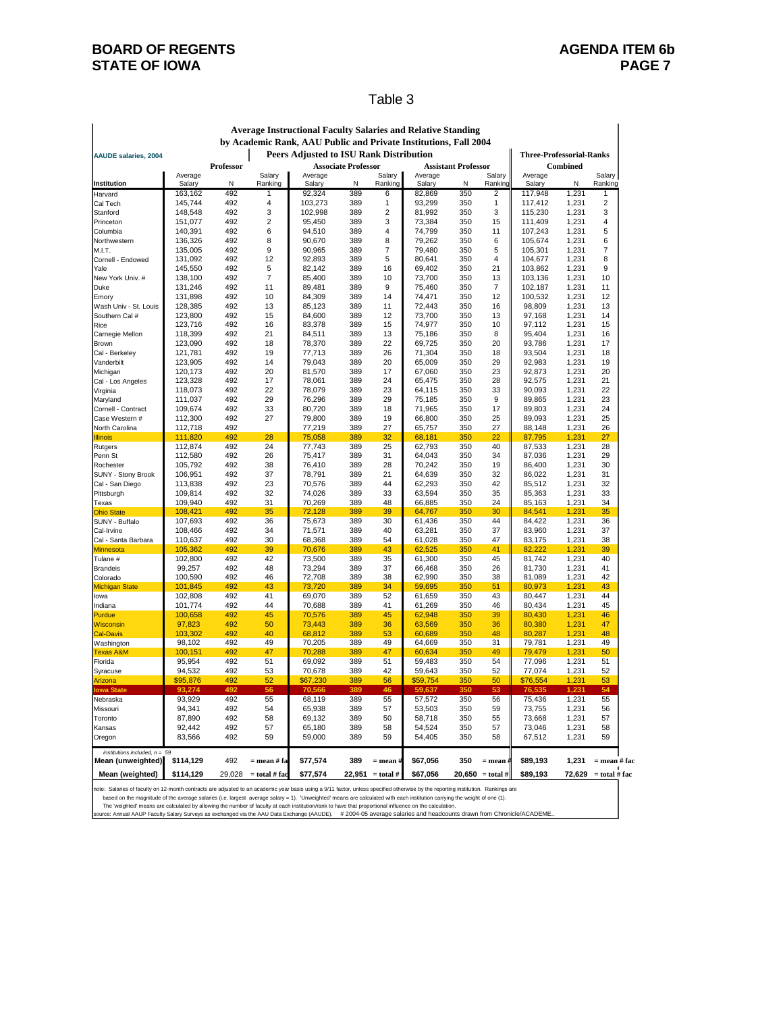## **BOARD OF REGENTS BOARD OF REGENTS STATE OF IOWA** PAGE 7

#### Table 3

|                                                                                                           |                    |            |                 | <b>Average Instructional Faculty Salaries and Relative Standing</b> |                            |                |                  |                            |                                |                    |                 |                 |
|-----------------------------------------------------------------------------------------------------------|--------------------|------------|-----------------|---------------------------------------------------------------------|----------------------------|----------------|------------------|----------------------------|--------------------------------|--------------------|-----------------|-----------------|
| by Academic Rank, AAU Public and Private Institutions, Fall 2004                                          |                    |            |                 |                                                                     |                            |                |                  |                            |                                |                    |                 |                 |
| Peers Adjusted to ISU Rank Distribution<br><b>Three-Professorial-Ranks</b><br><b>AAUDE salaries, 2004</b> |                    |            |                 |                                                                     |                            |                |                  |                            |                                |                    |                 |                 |
|                                                                                                           |                    | Professor  |                 |                                                                     | <b>Associate Professor</b> |                |                  | <b>Assistant Professor</b> |                                |                    | <b>Combined</b> |                 |
|                                                                                                           | Average            |            | Salary          | Average                                                             |                            | Salary         | Average          |                            | Salary                         | Average            |                 | Salary          |
| Institution                                                                                               | Salary             | N          | Ranking         | Salary                                                              | N                          | Rankinc        | Salary           | N                          | Rankin                         | Salary             | N               | Ranking         |
| Harvard<br>Cal Tech                                                                                       | 163,162<br>145,744 | 492<br>492 | 1<br>4          | 92,324<br>103,273                                                   | 389<br>389                 | 6<br>1         | 82,869<br>93,299 | 350<br>350                 | $\overline{2}$<br>$\mathbf{1}$ | 117,948<br>117,412 | 1,231<br>1,231  | 1<br>2          |
| Stanford                                                                                                  | 148,548            | 492        | 3               | 102,998                                                             | 389                        | $\overline{2}$ | 81,992           | 350                        | 3                              | 115,230            | 1,231           | 3               |
| Princeton                                                                                                 | 151,077            | 492        | $\overline{2}$  | 95,450                                                              | 389                        | 3              | 73,384           | 350                        | 15                             | 111,409            | 1,231           | $\overline{4}$  |
| Columbia                                                                                                  | 140,391            | 492        | 6               | 94,510                                                              | 389                        | $\overline{4}$ | 74,799           | 350                        | 11                             | 107,243            | 1,231           | 5               |
| Northwestern                                                                                              | 136,326            | 492        | 8               | 90,670                                                              | 389                        | 8              | 79,262           | 350                        | 6                              | 105,674            | 1,231           | 6               |
| M.I.T.                                                                                                    | 135,005            | 492        | 9               | 90,965                                                              | 389                        | $\overline{7}$ | 79,480           | 350                        | 5                              | 105,301            | 1,231           | $\overline{7}$  |
| Cornell - Endowed                                                                                         | 131,092            | 492        | 12              | 92,893                                                              | 389                        | 5              | 80,641           | 350                        | $\overline{4}$                 | 104,677            | 1,231           | 8               |
| Yale                                                                                                      | 145,550            | 492        | 5               | 82,142                                                              | 389                        | 16             | 69,402           | 350                        | 21                             | 103,862            | 1,231           | 9               |
| New York Univ. #<br>Duke                                                                                  | 138,100<br>131,246 | 492<br>492 | 7<br>11         | 85,400<br>89,481                                                    | 389<br>389                 | 10<br>9        | 73,700<br>75,460 | 350<br>350                 | 13<br>$\overline{7}$           | 103,136<br>102,187 | 1,231<br>1,231  | 10<br>11        |
| lEmorv                                                                                                    | 131,898            | 492        | 10              | 84,309                                                              | 389                        | 14             | 74,471           | 350                        | 12                             | 100,532            | 1,231           | 12              |
| Wash Univ - St. Louis                                                                                     | 128,385            | 492        | 13              | 85,123                                                              | 389                        | 11             | 72,443           | 350                        | 16                             | 98,809             | 1,231           | 13              |
| Southern Cal #                                                                                            | 123,800            | 492        | 15              | 84,600                                                              | 389                        | 12             | 73,700           | 350                        | 13                             | 97,168             | 1,231           | 14              |
| Rice                                                                                                      | 123,716            | 492        | 16              | 83,378                                                              | 389                        | 15             | 74,977           | 350                        | 10                             | 97,112             | 1,231           | 15              |
| Carnegie Mellon                                                                                           | 118,399            | 492        | 21              | 84,511                                                              | 389                        | 13             | 75,186           | 350                        | 8                              | 95,404             | 1,231           | 16              |
| Brown                                                                                                     | 123,090            | 492        | 18              | 78,370                                                              | 389                        | 22             | 69,725           | 350                        | 20                             | 93,786             | 1,231           | 17              |
| Cal - Berkeley                                                                                            | 121,781            | 492        | 19              | 77,713                                                              | 389                        | 26             | 71,304           | 350                        | 18                             | 93,504             | 1,231           | 18              |
| Vanderbilt                                                                                                | 123,905            | 492        | 14              | 79,043                                                              | 389                        | 20             | 65,009           | 350                        | 29                             | 92,983             | 1,231           | 19              |
| Michigan                                                                                                  | 120,173            | 492        | 20              | 81,570                                                              | 389                        | 17             | 67,060           | 350                        | 23                             | 92,873             | 1,231           | 20              |
| Cal - Los Angeles                                                                                         | 123,328<br>118,073 | 492<br>492 | 17<br>22        | 78,061<br>78,079                                                    | 389<br>389                 | 24<br>23       | 65,475<br>64,115 | 350<br>350                 | 28<br>33                       | 92,575<br>90,093   | 1.231<br>1,231  | 21<br>22        |
| Virginia<br>Maryland                                                                                      | 111,037            | 492        | 29              | 76,296                                                              | 389                        | 29             | 75.185           | 350                        | 9                              | 89,865             | 1.231           | 23              |
| Cornell - Contract                                                                                        | 109,674            | 492        | 33              | 80,720                                                              | 389                        | 18             | 71,965           | 350                        | 17                             | 89,803             | 1,231           | 24              |
| Case Western #                                                                                            | 112,300            | 492        | 27              | 79,800                                                              | 389                        | 19             | 66,800           | 350                        | 25                             | 89,093             | 1,231           | 25              |
| North Carolina                                                                                            | 112,718            | 492        |                 | 77,219                                                              | 389                        | 27             | 65,757           | 350                        | 27                             | 88,148             | 1,231           | 26              |
| <b>Illinois</b>                                                                                           | 111,820            | 492        | 28              | 75,058                                                              | 389                        | 32             | 68,181           | 350                        | 22                             | 87,795             | 1,231           | 27              |
| Rutgers                                                                                                   | 112,874            | 492        | 24              | 77,743                                                              | 389                        | 25             | 62,793           | 350                        | 40                             | 87,533             | 1,231           | 28              |
| Penn St                                                                                                   | 112,580            | 492        | 26              | 75,417                                                              | 389                        | 31             | 64,043           | 350                        | 34                             | 87,036             | 1,231           | 29              |
| Rochester                                                                                                 | 105,792            | 492        | 38              | 76,410                                                              | 389                        | 28             | 70,242           | 350                        | 19                             | 86,400             | 1,231           | 30              |
| SUNY - Stony Brook                                                                                        | 106,951            | 492<br>492 | 37<br>23        | 78,791<br>70,576                                                    | 389<br>389                 | 21<br>44       | 64,639<br>62,293 | 350<br>350                 | 32<br>42                       | 86,022<br>85,512   | 1,231<br>1,231  | 31<br>32        |
| Cal - San Diego<br>Pittsburgh                                                                             | 113,838<br>109,814 | 492        | 32              | 74,026                                                              | 389                        | 33             | 63,594           | 350                        | 35                             | 85,363             | 1,231           | 33              |
| Texas                                                                                                     | 109,940            | 492        | 31              | 70,269                                                              | 389                        | 48             | 66,885           | 350                        | 24                             | 85,163             | 1,231           | 34              |
| Ohio State                                                                                                | 108,421            | 492        | 35              | 72,128                                                              | 389                        | 39             | 64,767           | 350                        | 30                             | 84,541             | 1,231           | 35              |
| SUNY - Buffalo                                                                                            | 107,693            | 492        | 36              | 75,673                                                              | 389                        | 30             | 61,436           | 350                        | 44                             | 84,422             | 1,231           | 36              |
| Cal-Irvine                                                                                                | 108,466            | 492        | 34              | 71,571                                                              | 389                        | 40             | 63,281           | 350                        | 37                             | 83,960             | 1,231           | 37              |
| Cal - Santa Barbara                                                                                       | 110,637            | 492        | 30              | 68,368                                                              | 389                        | 54             | 61,028           | 350                        | 47                             | 83,175             | 1,231           | 38              |
| Minnesota                                                                                                 | 105,362            | 492        | 39              | 70,676                                                              | 389                        | 43             | 62,525           | 350                        | 41                             | 82,222             | 1,231           | 39              |
| Tulane #                                                                                                  | 102,800            | 492        | 42              | 73,500                                                              | 389                        | 35             | 61,300           | 350                        | 45                             | 81,742             | 1,231           | 40              |
| Brandeis                                                                                                  | 99,257<br>100,590  | 492<br>492 | 48<br>46        | 73,294<br>72,708                                                    | 389<br>389                 | 37<br>38       | 66,468<br>62,990 | 350<br>350                 | 26<br>38                       | 81,730<br>81,089   | 1,231           | 41<br>42        |
| Colorado<br><b>Michigan State</b>                                                                         | 101,845            | 492        | 43              | 73,720                                                              | 389                        | 34             | 59,695           | 350                        | 51                             | 80,973             | 1,231<br>1,231  | 43              |
| lowa                                                                                                      | 102,808            | 492        | 41              | 69,070                                                              | 389                        | 52             | 61,659           | 350                        | 43                             | 80,447             | 1,231           | 44              |
| Indiana                                                                                                   | 101,774            | 492        | 44              | 70,688                                                              | 389                        | 41             | 61,269           | 350                        | 46                             | 80,434             | 1,231           | 45              |
| Purdue                                                                                                    | 100,658            | 492        | 45              | 70.576                                                              | 389                        | 45             | 62.948           | 350                        | 39                             | 80.430             | 1.231           | 46              |
| Wisconsin                                                                                                 | 97,823             | 492        | 50              | 73,443                                                              | 389                        | 36             | 63,569           | 350                        | 36                             | 80,380             | 1,231           | 47              |
| <b>Cal-Davis</b>                                                                                          | 103,302            | 492        | 40              | 68,812                                                              | 389                        | 53             | 60,689           | 350                        | 48                             | 80,287             | 1,231           | 48              |
| Washington                                                                                                | 98,102             | 492        | 49              | 70,205                                                              | 389                        | 49             | 64,669           | 350                        | 31                             | 79,781             | 1,231           | 49              |
| Texas A&M                                                                                                 | 100,151            | 492        | 47              | 70,288                                                              | 389                        | 47             | 60,634           | 350                        | 49                             | 79,479             | 1,231           | 50              |
| Florida                                                                                                   | 95,954             | 492<br>492 | 51<br>53        | 69,092                                                              | 389<br>389                 | 51<br>42       | 59,483<br>59,643 | 350<br>350                 | 54<br>52                       | 77,096<br>77,074   | 1,231           | 51<br>52        |
| Syracuse<br>Arizona                                                                                       | 94,532<br>\$95,876 | 492        | 52              | 70,678<br>\$67,230                                                  | 389                        | 56             | \$59,754         | 350                        | 50                             | \$76,554           | 1,231<br>1,231  | 53              |
| owa State                                                                                                 | 93.274             | 492        | 56              | 70.566                                                              | ર રા                       | 46             | 59.637           | 350                        | 53                             | 76.535             | 1.231           | 54              |
| Nebraska                                                                                                  | 93,929             | 492        | 55              | 68,119                                                              | 389                        | 55             | 57,572           | 350                        | 56                             | 75,436             | 1,231           | 55              |
| Missouri                                                                                                  | 94,341             | 492        | 54              | 65,938                                                              | 389                        | 57             | 53,503           | 350                        | 59                             | 73,755             | 1,231           | 56              |
| Toronto                                                                                                   | 87,890             | 492        | 58              | 69,132                                                              | 389                        | 50             | 58.718           | 350                        | 55                             | 73,668             | 1,231           | 57              |
| Kansas                                                                                                    | 92,442             | 492        | 57              | 65,180                                                              | 389                        | 58             | 54,524           | 350                        | 57                             | 73,046             | 1,231           | 58              |
| Oregon                                                                                                    | 83,566             | 492        | 59              | 59,000                                                              | 389                        | 59             | 54,405           | 350                        | 58                             | 67,512             | 1,231           | 59              |
| institutions included, $n = 59$                                                                           |                    |            |                 |                                                                     |                            |                |                  |                            |                                |                    |                 |                 |
| Mean (unweighted)                                                                                         | \$114,129          | 492        | $=$ mean $#$ fa | \$77,574                                                            | 389                        | $=$ mean       | \$67,056         | 350                        | $=$ mean                       | \$89,193           | 1,231           | = mean # fac    |
| Mean (weighted)                                                                                           | \$114,129          | 29,028     | $=$ total # fac | \$77,574                                                            | 22,951                     | $=$ total #    | \$67,056         |                            | $20,650 = \text{total }#$      | \$89,193           | 72,629          | $=$ total # fac |
|                                                                                                           |                    |            |                 |                                                                     |                            |                |                  |                            |                                |                    |                 |                 |

note: Salaries of faculty on 12-month contracts are adjusted to an academic year basis using a 9/11 factor, unless specified otherwise by the reporting institution. Rankings are<br>The 'weighted' means are calculated by allo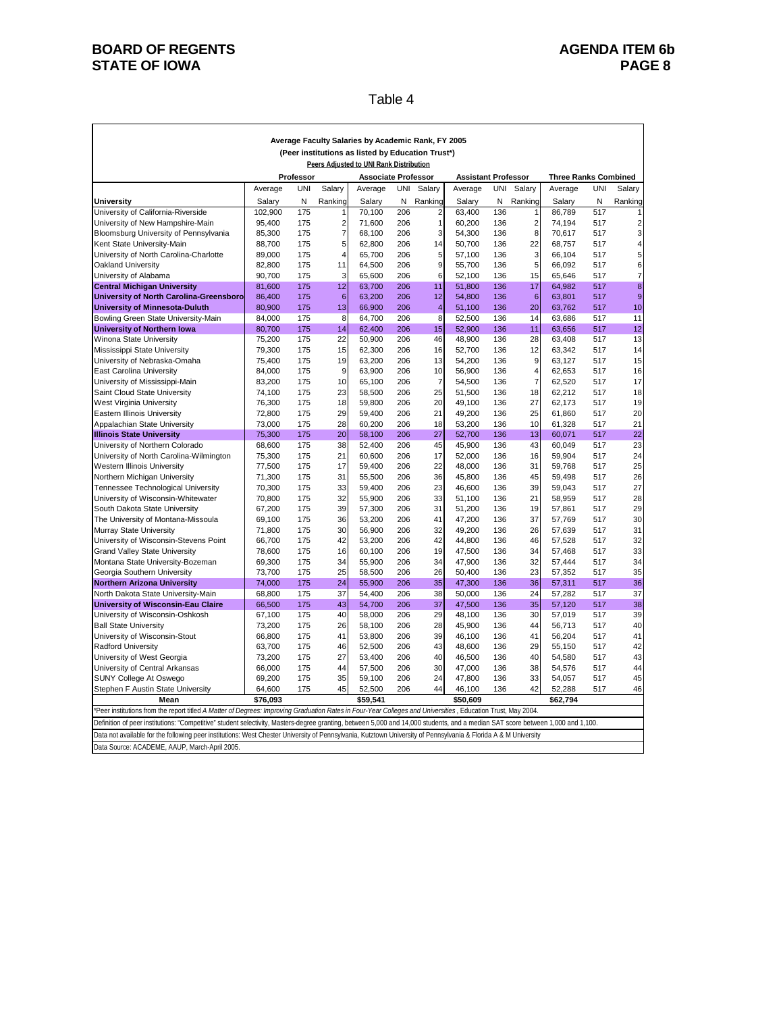## **BOARD OF REGENTS**<br> **BOARD OF REGENTS**<br> **BOARD OF IOWA**<br> **BOARD OF IOWA**<br> **PAGE 8 STATE OF IOWA**

#### Table 4

| Average Faculty Salaries by Academic Rank, FY 2005                                                                                                                                                                                                                                                                                              |                                                                                              |            |                         |                            |            |                                    |                            |            |                     |                             |            |                         |  |  |
|-------------------------------------------------------------------------------------------------------------------------------------------------------------------------------------------------------------------------------------------------------------------------------------------------------------------------------------------------|----------------------------------------------------------------------------------------------|------------|-------------------------|----------------------------|------------|------------------------------------|----------------------------|------------|---------------------|-----------------------------|------------|-------------------------|--|--|
|                                                                                                                                                                                                                                                                                                                                                 | (Peer institutions as listed by Education Trust*)<br>Peers Adjusted to UNI Rank Distribution |            |                         |                            |            |                                    |                            |            |                     |                             |            |                         |  |  |
|                                                                                                                                                                                                                                                                                                                                                 |                                                                                              | Professor  |                         | <b>Associate Professor</b> |            |                                    | <b>Assistant Professor</b> |            |                     | <b>Three Ranks Combined</b> |            |                         |  |  |
|                                                                                                                                                                                                                                                                                                                                                 | Average                                                                                      | <b>UNI</b> | Salary                  | Average                    | <b>UNI</b> | Salary                             | Average                    | <b>UNI</b> | Salary              | Average                     | <b>UNI</b> | Salary                  |  |  |
|                                                                                                                                                                                                                                                                                                                                                 |                                                                                              | Ν          |                         |                            | N          |                                    |                            | N          |                     |                             | N          |                         |  |  |
| University<br>University of California-Riverside                                                                                                                                                                                                                                                                                                | Salary<br>102,900                                                                            | 175        | Ranking                 | Salary<br>70,100           | 206        | Ranking<br>$\overline{\mathbf{c}}$ | Salary<br>63,400           | 136        | Ranking<br>1        | Salary<br>86,789            | 517        | Ranking                 |  |  |
| University of New Hampshire-Main                                                                                                                                                                                                                                                                                                                | 95,400                                                                                       | 175        | $\overline{\mathbf{c}}$ | 71,600                     | 206        | $\mathbf{1}$                       | 60,200                     | 136        | $\overline{c}$      | 74,194                      | 517        | $\overline{\mathbf{c}}$ |  |  |
| Bloomsburg University of Pennsylvania                                                                                                                                                                                                                                                                                                           | 85,300                                                                                       | 175        | $\overline{7}$          | 68,100                     | 206        | 3                                  | 54,300                     | 136        | 8                   | 70,617                      | 517        | 3                       |  |  |
| Kent State University-Main                                                                                                                                                                                                                                                                                                                      | 88,700                                                                                       | 175        | 5                       | 62,800                     | 206        | 14                                 | 50,700                     | 136        | 22                  | 68,757                      | 517        | 4                       |  |  |
| University of North Carolina-Charlotte                                                                                                                                                                                                                                                                                                          | 89,000                                                                                       | 175        | 4                       | 65,700                     | 206        | 5                                  | 57,100                     | 136        | 3                   | 66,104                      | 517        | 5                       |  |  |
| Oakland University                                                                                                                                                                                                                                                                                                                              | 82,800                                                                                       | 175        | 11                      | 64,500                     | 206        | 9                                  | 55,700                     | 136        | 5                   | 66,092                      | 517        | 6                       |  |  |
| University of Alabama                                                                                                                                                                                                                                                                                                                           | 90,700                                                                                       | 175        | 3                       | 65,600                     | 206        | 6                                  | 52,100                     | 136        | 15                  | 65,646                      | 517        | $\overline{7}$          |  |  |
| <b>Central Michigan University</b>                                                                                                                                                                                                                                                                                                              | 81,600                                                                                       | 175        | 12                      | 63,700                     | 206        | 11                                 | 51,800                     | 136        | 17                  | 64,982                      | 517        | $\bf8$                  |  |  |
| University of North Carolina-Greensboro                                                                                                                                                                                                                                                                                                         | 86,400                                                                                       | 175        | $6\phantom{1}6$         | 63,200                     | 206        | 12                                 | 54,800                     | 136        | $6\phantom{1}$      | 63,801                      | 517        | $\overline{9}$          |  |  |
| <b>University of Minnesota-Duluth</b>                                                                                                                                                                                                                                                                                                           | 80,900                                                                                       | 175        | 13                      | 66,900                     | 206        | 4                                  | 51,100                     | 136        | 20                  | 63,762                      | 517        | 10                      |  |  |
| Bowling Green State University-Main                                                                                                                                                                                                                                                                                                             | 84,000                                                                                       | 175        | 8                       | 64,700                     | 206        | 8                                  | 52,500                     | 136        | 14                  | 63,686                      | 517        | 11                      |  |  |
| University of Northern Iowa                                                                                                                                                                                                                                                                                                                     | 80,700                                                                                       | 175        | 14                      | 62,400                     | 206        | 15                                 | 52,900                     | 136        | 11                  | 63,656                      | 517        | 12                      |  |  |
| Winona State University                                                                                                                                                                                                                                                                                                                         | 75,200                                                                                       | 175        | 22                      | 50,900                     | 206        | 46                                 | 48,900                     | 136        | 28                  | 63,408                      | 517        | 13                      |  |  |
| Mississippi State University                                                                                                                                                                                                                                                                                                                    | 79,300                                                                                       | 175        | 15                      | 62,300                     | 206        | 16                                 | 52,700                     | 136        | 12                  | 63,342                      | 517        | 14                      |  |  |
| University of Nebraska-Omaha                                                                                                                                                                                                                                                                                                                    | 75,400<br>84,000                                                                             | 175<br>175 | 19<br>9                 | 63,200<br>63,900           | 206<br>206 | 13<br>10                           | 54,200<br>56,900           | 136<br>136 | 9<br>$\overline{4}$ | 63,127<br>62,653            | 517<br>517 | 15<br>16                |  |  |
| East Carolina University<br>University of Mississippi-Main                                                                                                                                                                                                                                                                                      | 83,200                                                                                       | 175        | 10                      | 65,100                     | 206        | $\overline{7}$                     | 54,500                     | 136        | $\overline{7}$      | 62,520                      | 517        | 17                      |  |  |
| Saint Cloud State University                                                                                                                                                                                                                                                                                                                    | 74,100                                                                                       | 175        | 23                      | 58,500                     | 206        | 25                                 | 51,500                     | 136        | 18                  | 62,212                      | 517        | 18                      |  |  |
| West Virginia University                                                                                                                                                                                                                                                                                                                        | 76,300                                                                                       | 175        | 18                      | 59,800                     | 206        | 20                                 | 49,100                     | 136        | 27                  | 62,173                      | 517        | 19                      |  |  |
| Eastern Illinois University                                                                                                                                                                                                                                                                                                                     | 72,800                                                                                       | 175        | 29                      | 59,400                     | 206        | 21                                 | 49,200                     | 136        | 25                  | 61,860                      | 517        | 20                      |  |  |
| Appalachian State University                                                                                                                                                                                                                                                                                                                    | 73,000                                                                                       | 175        | 28                      | 60,200                     | 206        | 18                                 | 53,200                     | 136        | 10                  | 61,328                      | 517        | 21                      |  |  |
| <b>Illinois State University</b>                                                                                                                                                                                                                                                                                                                | 75,300                                                                                       | 175        | 20                      | 58,100                     | 206        | 27                                 | 52,700                     | 136        | 13                  | 60,071                      | 517        | 22                      |  |  |
| University of Northern Colorado                                                                                                                                                                                                                                                                                                                 | 68,600                                                                                       | 175        | 38                      | 52,400                     | 206        | 45                                 | 45,900                     | 136        | 43                  | 60,049                      | 517        | 23                      |  |  |
| University of North Carolina-Wilmington                                                                                                                                                                                                                                                                                                         | 75,300                                                                                       | 175        | 21                      | 60,600                     | 206        | 17                                 | 52,000                     | 136        | 16                  | 59,904                      | 517        | 24                      |  |  |
| Western Illinois University                                                                                                                                                                                                                                                                                                                     | 77,500                                                                                       | 175        | 17                      | 59,400                     | 206        | 22                                 | 48,000                     | 136        | 31                  | 59,768                      | 517        | 25                      |  |  |
| Northern Michigan University                                                                                                                                                                                                                                                                                                                    | 71,300                                                                                       | 175        | 31                      | 55,500                     | 206        | 36                                 | 45,800                     | 136        | 45                  | 59,498                      | 517        | 26                      |  |  |
| Tennessee Technological University                                                                                                                                                                                                                                                                                                              | 70,300                                                                                       | 175        | 33                      | 59,400                     | 206        | 23                                 | 46,600                     | 136        | 39                  | 59,043                      | 517        | 27                      |  |  |
| University of Wisconsin-Whitewater                                                                                                                                                                                                                                                                                                              | 70,800                                                                                       | 175        | 32                      | 55,900                     | 206        | 33                                 | 51,100                     | 136        | 21                  | 58,959                      | 517        | 28                      |  |  |
| South Dakota State University                                                                                                                                                                                                                                                                                                                   | 67,200                                                                                       | 175        | 39                      | 57,300                     | 206        | 31                                 | 51,200                     | 136        | 19                  | 57,861                      | 517        | 29                      |  |  |
| The University of Montana-Missoula                                                                                                                                                                                                                                                                                                              | 69,100                                                                                       | 175        | 36                      | 53,200                     | 206        | 41                                 | 47,200                     | 136        | 37                  | 57,769                      | 517        | 30                      |  |  |
| Murray State University                                                                                                                                                                                                                                                                                                                         | 71,800<br>66,700                                                                             | 175<br>175 | 30<br>42                | 56,900<br>53,200           | 206<br>206 | 32<br>42                           | 49,200<br>44,800           | 136<br>136 | 26<br>46            | 57,639<br>57,528            | 517<br>517 | 31<br>32                |  |  |
| University of Wisconsin-Stevens Point<br><b>Grand Valley State University</b>                                                                                                                                                                                                                                                                   | 78,600                                                                                       | 175        | 16                      | 60,100                     | 206        | 19                                 | 47,500                     | 136        | 34                  | 57,468                      | 517        | 33                      |  |  |
| Montana State University-Bozeman                                                                                                                                                                                                                                                                                                                | 69,300                                                                                       | 175        | 34                      | 55,900                     | 206        | 34                                 | 47,900                     | 136        | 32                  | 57,444                      | 517        | 34                      |  |  |
| Georgia Southern University                                                                                                                                                                                                                                                                                                                     | 73,700                                                                                       | 175        | 25                      | 58,500                     | 206        | 26                                 | 50,400                     | 136        | 23                  | 57,352                      | 517        | 35                      |  |  |
| <b>Northern Arizona University</b>                                                                                                                                                                                                                                                                                                              | 74,000                                                                                       | 175        | 24                      | 55,900                     | 206        | 35                                 | 47,300                     | 136        | 36                  | 57,311                      | 517        | 36                      |  |  |
| North Dakota State University-Main                                                                                                                                                                                                                                                                                                              | 68,800                                                                                       | 175        | 37                      | 54,400                     | 206        | 38                                 | 50,000                     | 136        | 24                  | 57,282                      | 517        | 37                      |  |  |
| University of Wisconsin-Eau Claire                                                                                                                                                                                                                                                                                                              | 66,500                                                                                       | 175        | 43                      | 54,700                     | 206        | 37                                 | 47,500                     | 136        | 35                  | 57,120                      | 517        | 38                      |  |  |
| University of Wisconsin-Oshkosh                                                                                                                                                                                                                                                                                                                 | 67,100                                                                                       | 175        | 40                      | 58,000                     | 206        | 29                                 | 48,100                     | 136        | 30                  | 57,019                      | 517        | 39                      |  |  |
| <b>Ball State University</b>                                                                                                                                                                                                                                                                                                                    | 73,200                                                                                       | 175        | 26                      | 58,100                     | 206        | 28                                 | 45,900                     | 136        | 44                  | 56,713                      | 517        | 40                      |  |  |
| University of Wisconsin-Stout                                                                                                                                                                                                                                                                                                                   | 66,800                                                                                       | 175        | 41                      | 53,800                     | 206        | 39                                 | 46,100                     | 136        | 41                  | 56,204                      | 517        | 41                      |  |  |
| <b>Radford University</b>                                                                                                                                                                                                                                                                                                                       | 63,700                                                                                       | 175        | 46                      | 52,500                     | 206        | 43                                 | 48,600                     | 136        | 29                  | 55,150                      | 517        | 42                      |  |  |
| University of West Georgia                                                                                                                                                                                                                                                                                                                      | 73,200                                                                                       | 175        | 27                      | 53,400                     | 206        | 40                                 | 46,500                     | 136        | 40                  | 54,580                      | 517        | 43                      |  |  |
| University of Central Arkansas                                                                                                                                                                                                                                                                                                                  | 66,000                                                                                       | 175        | 44                      | 57,500                     | 206        | 30                                 | 47,000                     | 136        | 38                  | 54,576                      | 517        | 44                      |  |  |
| SUNY College At Oswego                                                                                                                                                                                                                                                                                                                          | 69,200                                                                                       | 175        | 35                      | 59,100                     | 206        | 24                                 | 47,800                     | 136        | 33                  | 54,057                      | 517        | 45                      |  |  |
| Stephen F Austin State University                                                                                                                                                                                                                                                                                                               | 64,600                                                                                       | 175        | 45                      | 52,500                     | 206        | 44                                 | 46,100                     | 136        | 42                  | 52,288                      | 517        | 46                      |  |  |
| Mean                                                                                                                                                                                                                                                                                                                                            | \$76,093                                                                                     |            |                         | \$59.541                   |            |                                    | \$50.609                   |            |                     | \$62,794                    |            |                         |  |  |
| *Peer institutions from the report titled A Matter of Degrees: Improving Graduation Rates in Four-Year Colleges and Universities, Education Trust, May 2004.<br>Definition of peer institutions: "Competitive" student selectivity, Masters-degree granting, between 5,000 and 14,000 students, and a median SAT score between 1,000 and 1,100. |                                                                                              |            |                         |                            |            |                                    |                            |            |                     |                             |            |                         |  |  |
| Data not available for the following peer institutions: West Chester University of Pennsylvania, Kutztown University of Pennsylvania & Florida A & M University                                                                                                                                                                                 |                                                                                              |            |                         |                            |            |                                    |                            |            |                     |                             |            |                         |  |  |
| Data Source: ACADEME, AAUP, March-April 2005.                                                                                                                                                                                                                                                                                                   |                                                                                              |            |                         |                            |            |                                    |                            |            |                     |                             |            |                         |  |  |
|                                                                                                                                                                                                                                                                                                                                                 |                                                                                              |            |                         |                            |            |                                    |                            |            |                     |                             |            |                         |  |  |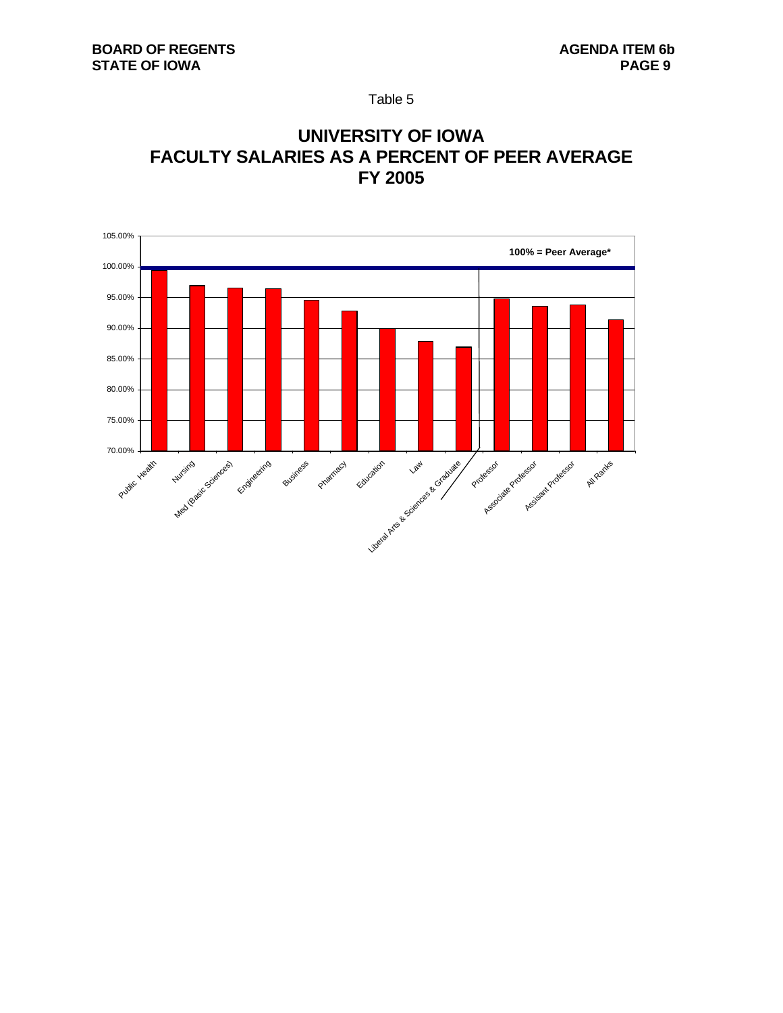Table 5

# **UNIVERSITY OF IOWA FACULTY SALARIES AS A PERCENT OF PEER AVERAGE FY 2005**

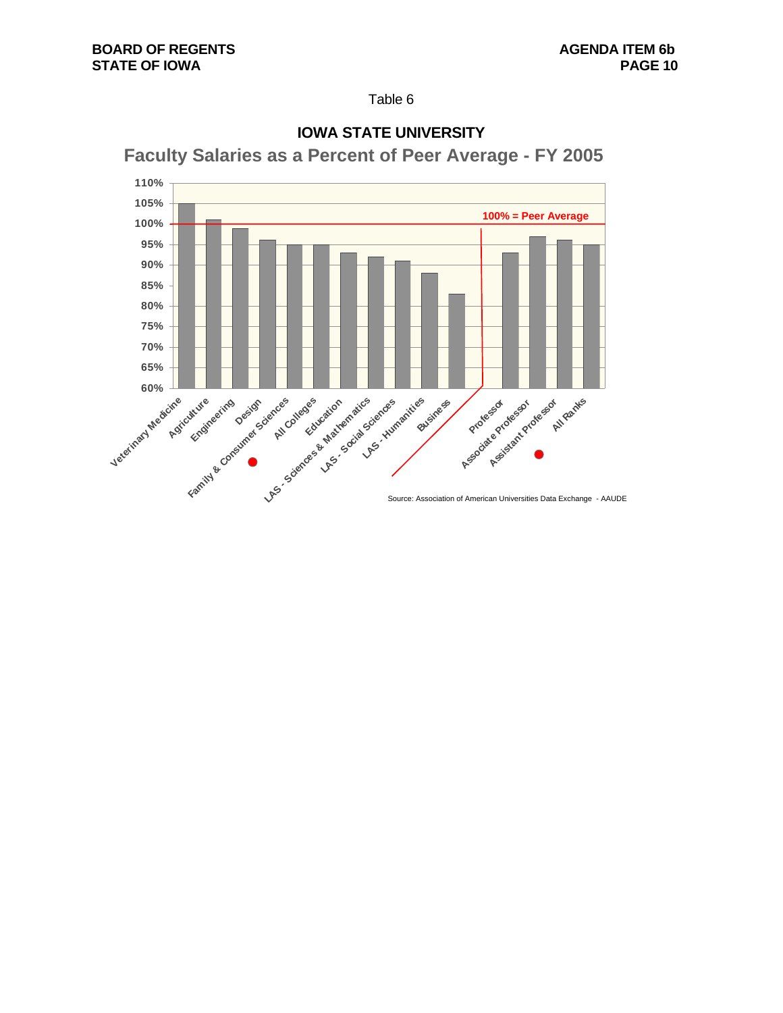Table 6



# **IOWA STATE UNIVERSITY**

**Faculty Salaries as a Percent of Peer Average - FY 2005**